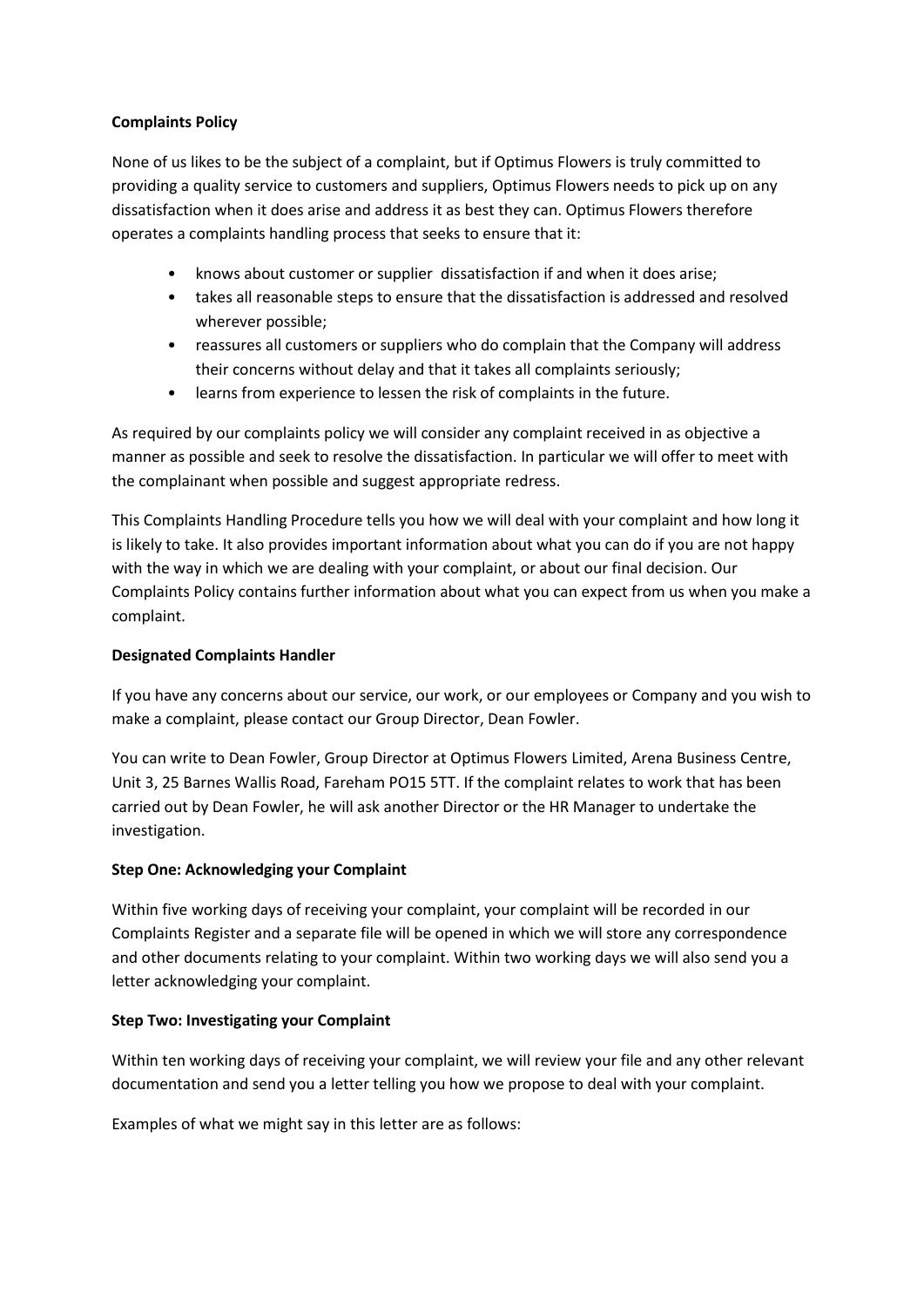## **Complaints Policy**

None of us likes to be the subject of a complaint, but if Optimus Flowers is truly committed to providing a quality service to customers and suppliers, Optimus Flowers needs to pick up on any dissatisfaction when it does arise and address it as best they can. Optimus Flowers therefore operates a complaints handling process that seeks to ensure that it:

- knows about customer or supplier dissatisfaction if and when it does arise;
- takes all reasonable steps to ensure that the dissatisfaction is addressed and resolved wherever possible;
- reassures all customers or suppliers who do complain that the Company will address their concerns without delay and that it takes all complaints seriously;
- learns from experience to lessen the risk of complaints in the future.

As required by our complaints policy we will consider any complaint received in as objective a manner as possible and seek to resolve the dissatisfaction. In particular we will offer to meet with the complainant when possible and suggest appropriate redress.

This Complaints Handling Procedure tells you how we will deal with your complaint and how long it is likely to take. It also provides important information about what you can do if you are not happy with the way in which we are dealing with your complaint, or about our final decision. Our Complaints Policy contains further information about what you can expect from us when you make a complaint.

# **Designated Complaints Handler**

If you have any concerns about our service, our work, or our employees or Company and you wish to make a complaint, please contact our Group Director, Dean Fowler.

You can write to Dean Fowler, Group Director at Optimus Flowers Limited, Arena Business Centre, Unit 3, 25 Barnes Wallis Road, Fareham PO15 5TT. If the complaint relates to work that has been carried out by Dean Fowler, he will ask another Director or the HR Manager to undertake the investigation.

# **Step One: Acknowledging your Complaint**

Within five working days of receiving your complaint, your complaint will be recorded in our Complaints Register and a separate file will be opened in which we will store any correspondence and other documents relating to your complaint. Within two working days we will also send you a letter acknowledging your complaint.

# **Step Two: Investigating your Complaint**

Within ten working days of receiving your complaint, we will review your file and any other relevant documentation and send you a letter telling you how we propose to deal with your complaint.

Examples of what we might say in this letter are as follows: